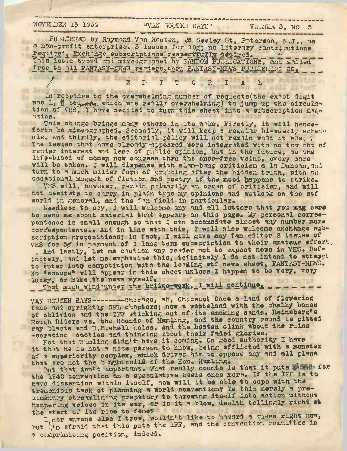## NOVELBER 15 1939

## "WAN HOUTEN SAYS"

-----------------------------

PUBLISHED by Raymond Von Houten, 26 Seeley St, Poterson, N.J., 38 n non-profit enterprise. 3 issues for log; no literary contributions required, Exch age subscriptions respectfully desired. This issue typ i nni mimcographed by FANDOM PUBLICATIONS, and mailed free to all FANTASY-NEWS replers, thru FANTASY-NEWS PUBLISHING CO. \_ \_ \_

EDIT ORIAL

In response to the overwhelming number of requests (the exact digit whe 1, i believe which whe really overwhelming) to jump up the circulation of VHS, I have decided to turn this sheet into a subscription magazine.

This change brings many others in its wake. Firstly, it will henceforth be mimeographed. Secondly, it will keep a regular bi-weekly sched. ule. And thirdly, the editorial policy will not remain what it was. ? The issues that have already appeared were integrated with no thought of reader interest and less of public opinion, but in the future, as the life-blood of money now courses thru the once-free veins, every care<br>will be taken. I will dispense with slun-bing criticism a la Duncan, and turn to a much milder form of grubbing after the hidden truth, with an occasional mugget of fiction and poetry if the mood happens to strike.

VHS will, however, remain primarily an organ of criticism, and will not hesitate to curry in plain type my opinions and outlook on the stf world in general, and the fan field in particular.

Needless to say, I will welcome any and all letters that you may care to send me about material that appears on this page. My personal correspondence is emall enough so that I can accomodate almost any number more correspondents.. And in line with this, I will also welcome exchange subscription propositions; in fact, I will give any fan editor 2 issues of VHS for 5g in payment of a long term subscription to their amsteur effort,

And lastly, let me cution any reader not to expect news in VHS. Definitely, and let me emphasize this, definitely I do not intend to attempt to enter into competition with the leading stf news sheet, FANTASY-NEWS. No "scoops" will appear in this sheet unless I happen to be very, very lucky, or make the news myself.

That much wind under the bridge-work, I will continue, ......

VAN HOUTEN SAYS-----------Chicago, ah, Chicagot Once a land of flowering fans and sprightly SFL chapters; now a watteland with the chalky bones of oblivion and the IFF sticking out of its smoking sands. Reinsberg's Rough Riders vs. the Hounds of Hamling, and the country round is pitted ray blasts and H.E.shell holse. And the beaten slink about the ruins -scrating cooties and thinking about their faded glories.

Not that Hamling aidn't have it coming. On good authority I have it that he is not a nice person to know, being afflicted with a monster of a superiority complex, which drives him to oppose any and all plans that are not the brain chile of the Hon. Hamling.

But that isn't important. What really counts is that it puts E the for the 1940 convention on a speculative basis once more. If the IFF is to have dissention within itself, how will it be able to cope with the tremendous task of planning a world comvention? Is this merely a prelimentry streamlining prepatory to throwing itself into action without hampering voices in its ear, or is it a blow, dealth tellingly right at the start of its rise to fame?

I, nor whyone else I trow, wouldn't like to havard a guess right now, but  $\int_{0}^{1}$  nfraid that this puts the IFF, and the convention committee in a comprimising position, indeed.